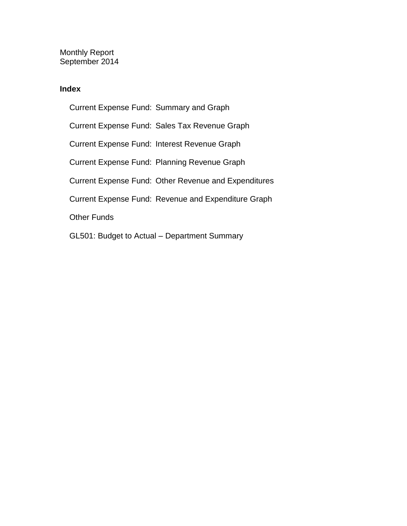Monthly Report September 2014

## **Index**

Current Expense Fund: Summary and Graph Current Expense Fund: Sales Tax Revenue Graph Current Expense Fund: Interest Revenue Graph Current Expense Fund: Planning Revenue Graph Current Expense Fund: Other Revenue and Expenditures Current Expense Fund: Revenue and Expenditure Graph Other Funds GL501: Budget to Actual – Department Summary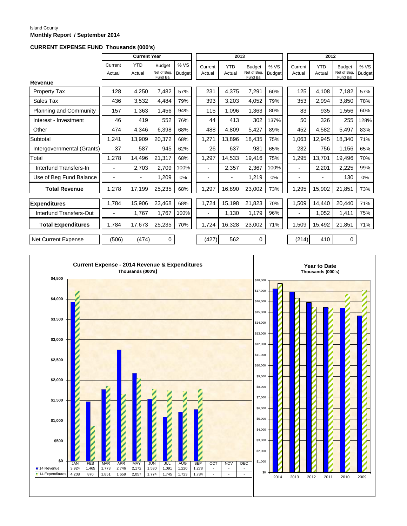#### Island County **Monthly Report / September 2014**

#### **CURRENT EXPENSE FUND Thousands (000's)**

|                            |                   | <b>Current Year</b>  |                                          |                       |                          | 2013                     |                                          |                       |                          | 2012                 |                                         |                       |
|----------------------------|-------------------|----------------------|------------------------------------------|-----------------------|--------------------------|--------------------------|------------------------------------------|-----------------------|--------------------------|----------------------|-----------------------------------------|-----------------------|
|                            | Current<br>Actual | <b>YTD</b><br>Actual | <b>Budget</b><br>Net of Beg.<br>Fund Bal | % VS<br><b>Budget</b> | Current<br>Actual        | <b>YTD</b><br>Actual     | <b>Budget</b><br>Net of Beg.<br>Fund Bal | % VS<br><b>Budget</b> | Current<br>Actual        | <b>YTD</b><br>Actual | <b>Budget</b><br>Net of Beg<br>Fund Bal | % VS<br><b>Budget</b> |
| Revenue                    |                   |                      |                                          |                       |                          |                          |                                          |                       |                          |                      |                                         |                       |
| <b>Property Tax</b>        | 128               | 4,250                | 7,482                                    | 57%                   | 231                      | 4,375                    | 7,291                                    | 60%                   | 125                      | 4,108                | 7,182                                   | 57%                   |
| Sales Tax                  | 436               | 3,532                | 4,484                                    | 79%                   | 393                      | 3,203                    | 4,052                                    | 79%                   | 353                      | 2,994                | 3,850                                   | 78%                   |
| Planning and Community     | 157               | 1,363                | 1,456                                    | 94%                   | 115                      | 1.096                    | 1,363                                    | 80%                   | 83                       | 935                  | 1,556                                   | 60%                   |
| Interest - Investment      | 46                | 419                  | 552                                      | 76%                   | 44                       | 413                      | 302                                      | 137%                  | 50                       | 326                  | 255                                     | 128%                  |
| Other                      | 474               | 4,346                | 6,398                                    | 68%                   | 488                      | 4,809                    | 5,427                                    | 89%                   | 452                      | 4,582                | 5,497                                   | 83%                   |
| Subtotal                   | 1,241             | 13,909               | 20,372                                   | 68%                   | 1,271                    | 13,896                   | 18,435                                   | 75%                   | 1,063                    | 12,945               | 18,340                                  | 71%                   |
| Intergovernmental (Grants) | 37                | 587                  | 945                                      | 62%                   | 26                       | 637                      | 981                                      | 65%                   | 232                      | 756                  | 1,156                                   | 65%                   |
| Total                      | 1,278             | 14,496               | 21,317                                   | 68%                   | 1,297                    | 14,533                   | 19,416                                   | 75%                   | 1,295                    | 13,701               | 19,496                                  | 70%                   |
| Interfund Transfers-In     | $\overline{a}$    | 2,703                | 2,709                                    | 100%                  |                          | 2,357                    | 2,367                                    | 100%                  | $\overline{\phantom{0}}$ | 2,201                | 2,225                                   | 99%                   |
| Use of Beg Fund Balance    | $\blacksquare$    |                      | 1,209                                    | 0%                    |                          | $\overline{\phantom{0}}$ | 1,219                                    | 0%                    | $\blacksquare$           |                      | 130                                     | 0%                    |
| <b>Total Revenue</b>       | 1,278             | 17,199               | 25,235                                   | 68%                   | 1,297                    | 16,890                   | 23,002                                   | 73%                   | 1,295                    | 15,902               | 21,851                                  | 73%                   |
| <b>Expenditures</b>        | 1.784             | 15,906               | 23,468                                   | 68%                   | 1,724                    | 15,198                   | 21,823                                   | 70%                   | 1,509                    | 14.440               | 20.440                                  | 71%                   |
| Interfund Transfers-Out    | $\blacksquare$    | 1,767                | 1,767                                    | 100%                  | $\overline{\phantom{a}}$ | 1,130                    | 1,179                                    | 96%                   | -                        | 1,052                | 1,411                                   | 75%                   |
| <b>Total Expenditures</b>  | 1.784             | 17,673               | 25,235                                   | 70%                   | 1.724                    | 16,328                   | 23,002                                   | 71%                   | 1,509                    | 15,492               | 21,851                                  | 71%                   |
| Net Current Expense        | (506)             | (474)                | $\mathbf 0$                              |                       | (427)                    | 562                      | $\mathbf 0$                              |                       | (214)                    | 410                  | $\mathbf 0$                             |                       |

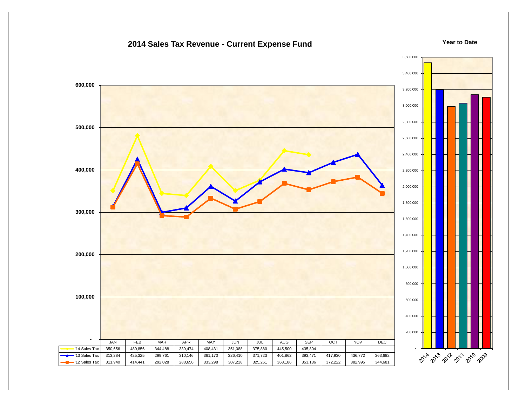## 3,600,000 3,400,000  **600,000** 3,200,000 3,000,000 2,800,000  **500,000** 2,600,000 2,400,000  **400,000** 2,200,000 2,000,000 1,800,000  **300,000** 1,600,000 1,400,000 1,200,000  **200,000** 1,000,000 800,000  **100,000** 600,000 400,000 200,000  **-** JAN FEB MAR APR MAY JUN JUL AUG SEP OCT NOV DEC - '14 Sales Tax | 350,656 | 480,856 | 344,488 | 339,474 | 408,431 | 351,088 | 375,880 | 445,500 | 435,804 2014 2013 2012 2013 2019 '13 Sales Tax | 313,284 | 425,325 | 299,761 | 310,146 | 361,170 | 326,410 | 371,723 | 401,862 | 393,471 | 417,930 | 436,772 | 363,682 '12 Sales Tax | 311,940 | 414,441 | 292,028 | 288,656 | 333,298 | 307,228 | 325,261 | 368,186 | 353,136 | 372,222 | 382,995 | 344,681

## **2014 Sales Tax Revenue - Current Expense Fund**

**Year to Date**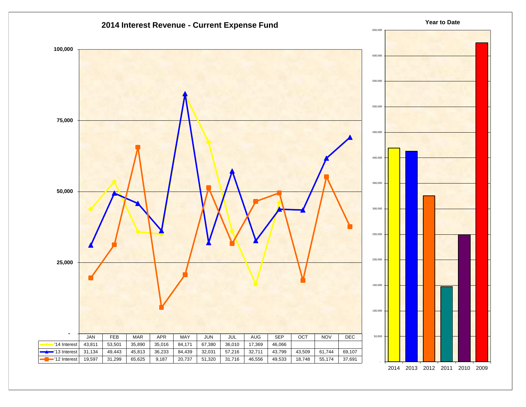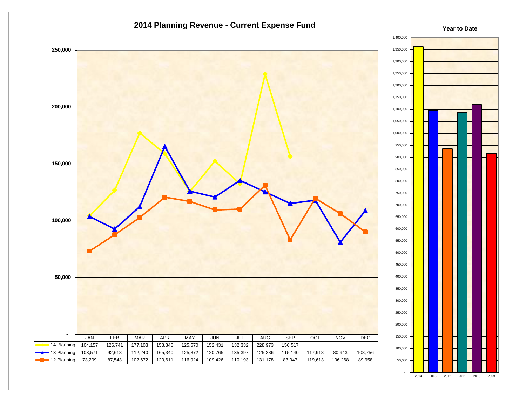



**Year to Date**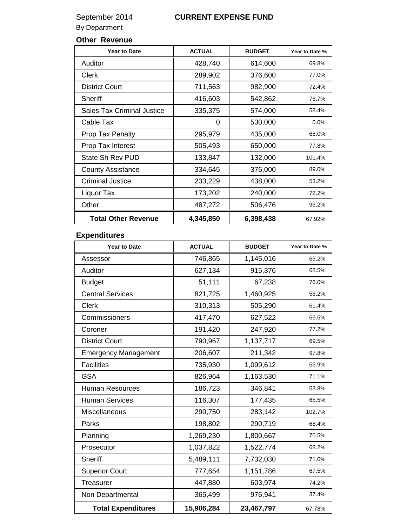## September 2014 **CURRENT EXPENSE FUND**

By Department

## **Other Revenue**

| <b>Year to Date</b>               | <b>ACTUAL</b> | <b>BUDGET</b> | Year to Date % |
|-----------------------------------|---------------|---------------|----------------|
| Auditor                           | 428,740       | 614,600       | 69.8%          |
| Clerk                             | 289,902       | 376,600       | 77.0%          |
| <b>District Court</b>             | 711,563       | 982,900       | 72.4%          |
| <b>Sheriff</b>                    | 416,603       | 542,862       | 76.7%          |
| <b>Sales Tax Criminal Justice</b> | 335,375       | 574,000       | 58.4%          |
| Cable Tax                         | 0             | 530,000       | 0.0%           |
| <b>Prop Tax Penalty</b>           | 295,979       | 435,000       | 68.0%          |
| Prop Tax Interest                 | 505,493       | 650,000       | 77.8%          |
| State Sh Rev PUD                  | 133,847       | 132,000       | 101.4%         |
| <b>County Assistance</b>          | 334,645       | 376,000       | 89.0%          |
| <b>Criminal Justice</b>           | 233,229       | 438,000       | 53.2%          |
| Liquor Tax                        | 173,202       | 240,000       | 72.2%          |
| Other                             | 487,272       | 506,476       | 96.2%          |
| <b>Total Other Revenue</b>        | 4,345,850     | 6,398,438     | 67.92%         |

## **Expenditures**

| <b>Year to Date</b>         | <b>ACTUAL</b> | <b>BUDGET</b> | Year to Date % |
|-----------------------------|---------------|---------------|----------------|
| Assessor                    | 746,865       | 1,145,016     | 65.2%          |
| Auditor                     | 627,134       | 915,376       | 68.5%          |
| <b>Budget</b>               | 51,111        | 67,238        | 76.0%          |
| <b>Central Services</b>     | 821,725       | 1,460,925     | 56.2%          |
| <b>Clerk</b>                | 310,313       | 505,290       | 61.4%          |
| Commissioners               | 417,470       | 627,522       | 66.5%          |
| Coroner                     | 191,420       | 247,920       | 77.2%          |
| <b>District Court</b>       | 790,967       | 1,137,717     | 69.5%          |
| <b>Emergency Management</b> | 206,607       | 211,342       | 97.8%          |
| <b>Facilities</b>           | 735,930       | 1,099,612     | 66.9%          |
| <b>GSA</b>                  | 826,964       | 1,163,530     | 71.1%          |
| <b>Human Resources</b>      | 186,723       | 346,841       | 53.8%          |
| <b>Human Services</b>       | 116,307       | 177,435       | 65.5%          |
| Miscellaneous               | 290,750       | 283,142       | 102.7%         |
| Parks                       | 198,802       | 290,719       | 68.4%          |
| Planning                    | 1,269,230     | 1,800,667     | 70.5%          |
| Prosecutor                  | 1,037,822     | 1,522,774     | 68.2%          |
| <b>Sheriff</b>              | 5,489,111     | 7,732,030     | 71.0%          |
| <b>Superior Court</b>       | 777,654       | 1,151,786     | 67.5%          |
| <b>Treasurer</b>            | 447,880       | 603,974       | 74.2%          |
| Non Departmental            | 365,499       | 976,941       | 37.4%          |
| <b>Total Expenditures</b>   | 15,906,284    | 23,467,797    | 67.78%         |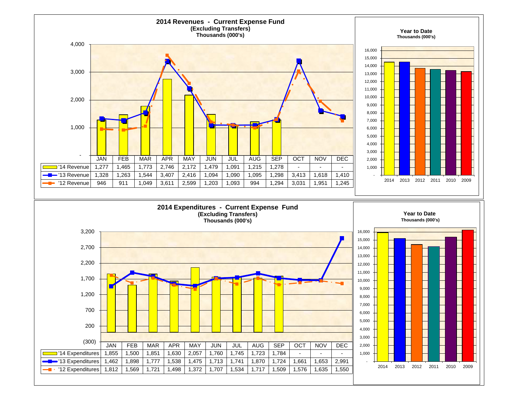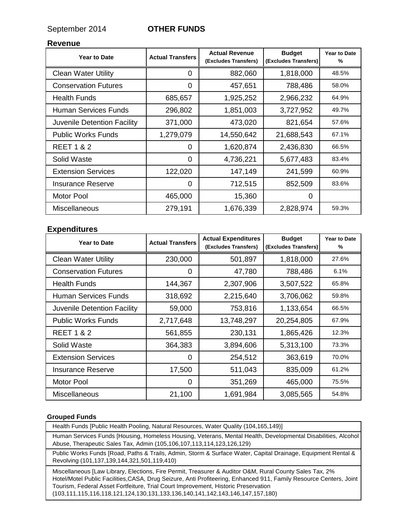September 2014 **OTHER FUNDS**

### **Revenue**

| <b>Year to Date</b>         | <b>Actual Transfers</b> | <b>Actual Revenue</b><br>(Excludes Transfers) | <b>Budget</b><br>(Excludes Transfers) | <b>Year to Date</b><br>% |
|-----------------------------|-------------------------|-----------------------------------------------|---------------------------------------|--------------------------|
| <b>Clean Water Utility</b>  | 0                       | 882,060                                       | 1,818,000                             | 48.5%                    |
| <b>Conservation Futures</b> | 0                       | 457,651                                       | 788,486                               | 58.0%                    |
| <b>Health Funds</b>         | 685,657                 | 1,925,252                                     | 2,966,232                             | 64.9%                    |
| Human Services Funds        | 296,802                 | 1,851,003                                     | 3,727,952                             | 49.7%                    |
| Juvenile Detention Facility | 371,000                 | 473,020                                       | 821,654                               | 57.6%                    |
| <b>Public Works Funds</b>   | 1,279,079               | 14,550,642                                    | 21,688,543                            | 67.1%                    |
| <b>REET 1 &amp; 2</b>       | $\Omega$                | 1,620,874                                     | 2,436,830                             | 66.5%                    |
| Solid Waste                 | 0                       | 4,736,221                                     | 5,677,483                             | 83.4%                    |
| <b>Extension Services</b>   | 122,020                 | 147,149                                       | 241,599                               | 60.9%                    |
| <b>Insurance Reserve</b>    | 0                       | 712,515                                       | 852,509                               | 83.6%                    |
| Motor Pool                  | 465,000                 | 15,360                                        | $\Omega$                              |                          |
| <b>Miscellaneous</b>        | 279,191                 | 1,676,339                                     | 2,828,974                             | 59.3%                    |

### **Expenditures**

| <b>Year to Date</b>         | <b>Actual Transfers</b> | <b>Actual Expenditures</b><br>(Excludes Transfers) | <b>Budget</b><br>(Excludes Transfers) | <b>Year to Date</b><br>% |
|-----------------------------|-------------------------|----------------------------------------------------|---------------------------------------|--------------------------|
| <b>Clean Water Utility</b>  | 230,000                 | 501,897                                            | 1,818,000                             | 27.6%                    |
| <b>Conservation Futures</b> | 0                       | 47,780                                             | 788,486                               | 6.1%                     |
| <b>Health Funds</b>         | 144,367                 | 2,307,906                                          | 3,507,522                             | 65.8%                    |
| Human Services Funds        | 318,692                 | 2,215,640                                          | 3,706,062                             | 59.8%                    |
| Juvenile Detention Facility | 59,000                  | 753,816                                            | 1,133,654                             | 66.5%                    |
| <b>Public Works Funds</b>   | 2,717,648               | 13,748,297                                         | 20,254,805                            | 67.9%                    |
| <b>REET 1 &amp; 2</b>       | 561,855                 | 230,131                                            | 1,865,426                             | 12.3%                    |
| Solid Waste                 | 364,383                 | 3,894,606                                          | 5,313,100                             | 73.3%                    |
| <b>Extension Services</b>   | 0                       | 254,512                                            | 363,619                               | 70.0%                    |
| <b>Insurance Reserve</b>    | 17,500                  | 511,043                                            | 835,009                               | 61.2%                    |
| Motor Pool                  | $\Omega$                | 351,269                                            | 465,000                               | 75.5%                    |
| <b>Miscellaneous</b>        | 21,100                  | 1,691,984                                          | 3,085,565                             | 54.8%                    |

#### **Grouped Funds**

Health Funds [Public Health Pooling, Natural Resources, Water Quality (104,165,149)]

Human Services Funds [Housing, Homeless Housing, Veterans, Mental Health, Developmental Disabilities, Alcohol Abuse, Therapeutic Sales Tax, Admin (105,106,107,113,114,123,126,129)

Public Works Funds [Road, Paths & Trails, Admin, Storm & Surface Water, Capital Drainage, Equipment Rental & Revolving (101,137,139,144,321,501,119,410)

Miscellaneous [Law Library, Elections, Fire Permit, Treasurer & Auditor O&M, Rural County Sales Tax, 2% Hotel/Motel Public Facilities,CASA, Drug Seizure, Anti Profiteering, Enhanced 911, Family Resource Centers, Joint Tourism, Federal Asset Fortfeiture, Trial Court Improvement, Historic Preservation (103,111,115,116,118,121,124,130,131,133,136,140,141,142,143,146,147,157,180)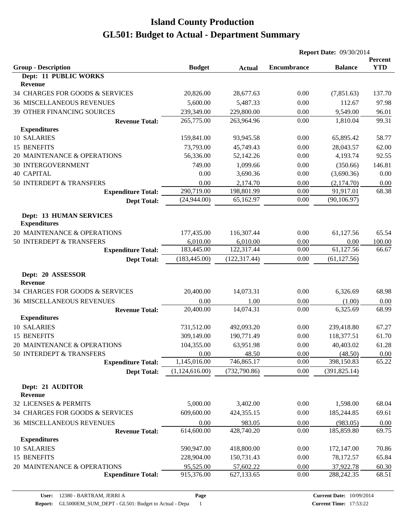|                                                |                |               | <b>Report Date: 09/30/2014</b> |                |                       |
|------------------------------------------------|----------------|---------------|--------------------------------|----------------|-----------------------|
| <b>Group - Description</b>                     | <b>Budget</b>  | <b>Actual</b> | <b>Encumbrance</b>             | <b>Balance</b> | Percent<br><b>YTD</b> |
| Dept: 11 PUBLIC WORKS<br>Revenue               |                |               |                                |                |                       |
| 34 CHARGES FOR GOODS & SERVICES                | 20,826.00      | 28,677.63     | 0.00                           | (7,851.63)     | 137.70                |
| <b>36 MISCELLANEOUS REVENUES</b>               | 5,600.00       | 5,487.33      | 0.00                           | 112.67         | 97.98                 |
| 39 OTHER FINANCING SOURCES                     | 239,349.00     | 229,800.00    | 0.00                           | 9,549.00       | 96.01                 |
| <b>Revenue Total:</b>                          | 265,775.00     | 263,964.96    | 0.00                           | 1,810.04       | 99.31                 |
| <b>Expenditures</b>                            |                |               |                                |                |                       |
| 10 SALARIES                                    | 159,841.00     | 93,945.58     | 0.00                           | 65,895.42      | 58.77                 |
| 15 BENEFITS                                    | 73,793.00      | 45,749.43     | 0.00                           | 28,043.57      | 62.00                 |
| 20 MAINTENANCE & OPERATIONS                    | 56,336.00      | 52,142.26     | 0.00                           | 4,193.74       | 92.55                 |
| <b>30 INTERGOVERNMENT</b>                      | 749.00         | 1,099.66      | 0.00                           | (350.66)       | 146.81                |
| <b>40 CAPITAL</b>                              | 0.00           | 3,690.36      | 0.00                           | (3,690.36)     | 0.00                  |
| 50 INTERDEPT & TRANSFERS                       | 0.00           | 2,174.70      | 0.00                           | (2,174.70)     | 0.00                  |
| <b>Expenditure Total:</b>                      | 290,719.00     | 198,801.99    | 0.00                           | 91,917.01      | 68.38                 |
| <b>Dept Total:</b>                             | (24,944.00)    | 65,162.97     | 0.00                           | (90, 106.97)   |                       |
| Dept: 13 HUMAN SERVICES<br><b>Expenditures</b> |                |               |                                |                |                       |
| 20 MAINTENANCE & OPERATIONS                    | 177,435.00     | 116,307.44    | 0.00                           | 61,127.56      | 65.54                 |
| 50 INTERDEPT & TRANSFERS                       | 6,010.00       | 6,010.00      | 0.00                           | 0.00           | 100.00                |
| <b>Expenditure Total:</b>                      | 183,445.00     | 122,317.44    | 0.00                           | 61,127.56      | 66.67                 |
| <b>Dept Total:</b>                             | (183, 445.00)  | (122, 317.44) | 0.00                           | (61, 127.56)   |                       |
| Dept: 20 ASSESSOR<br><b>Revenue</b>            |                |               |                                |                |                       |
| 34 CHARGES FOR GOODS & SERVICES                | 20,400.00      | 14,073.31     | 0.00                           | 6,326.69       | 68.98                 |
| <b>36 MISCELLANEOUS REVENUES</b>               | 0.00           | 1.00          | 0.00                           | (1.00)         | 0.00                  |
| <b>Revenue Total:</b>                          | 20,400.00      | 14,074.31     | 0.00                           | 6,325.69       | 68.99                 |
| <b>Expenditures</b>                            |                |               |                                |                |                       |
| 10 SALARIES                                    | 731,512.00     | 492,093.20    | 0.00                           | 239,418.80     | 67.27                 |
| 15 BENEFITS                                    | 309,149.00     | 190,771.49    | 0.00                           | 118,377.51     | 61.70                 |
| 20 MAINTENANCE & OPERATIONS                    | 104,355.00     | 63,951.98     | 0.00                           | 40,403.02      | 61.28                 |
| 50 INTERDEPT & TRANSFERS                       | 0.00           | 48.50         | 0.00                           | (48.50)        | 0.00                  |
| <b>Expenditure Total:</b>                      | 1,145,016.00   | 746,865.17    | 0.00                           | 398,150.83     | 65.22                 |
| <b>Dept Total:</b>                             | (1,124,616.00) | (732, 790.86) | 0.00                           | (391, 825.14)  |                       |
| Dept: 21 AUDITOR<br><b>Revenue</b>             |                |               |                                |                |                       |
| 32 LICENSES & PERMITS                          | 5,000.00       | 3,402.00      | 0.00                           | 1,598.00       | 68.04                 |
| 34 CHARGES FOR GOODS & SERVICES                | 609,600.00     | 424,355.15    | 0.00                           | 185,244.85     | 69.61                 |
| <b>36 MISCELLANEOUS REVENUES</b>               | 0.00           | 983.05        | 0.00                           | (983.05)       | 0.00                  |
| <b>Revenue Total:</b>                          | 614,600.00     | 428,740.20    | 0.00                           | 185,859.80     | 69.75                 |
| <b>Expenditures</b>                            |                |               |                                |                |                       |
| 10 SALARIES                                    | 590,947.00     | 418,800.00    | 0.00                           | 172,147.00     | 70.86                 |
| 15 BENEFITS                                    | 228,904.00     | 150,731.43    | 0.00                           | 78,172.57      | 65.84                 |
| 20 MAINTENANCE & OPERATIONS                    | 95,525.00      | 57,602.22     | 0.00                           | 37,922.78      | 60.30                 |
| <b>Expenditure Total:</b>                      | 915,376.00     | 627,133.65    | 0.00                           | 288,242.35     | 68.51                 |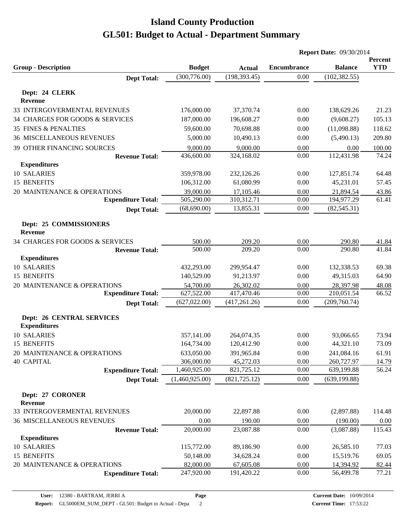|                                  |                |               | <b>Report Date: 09/30/2014</b> |                |            |
|----------------------------------|----------------|---------------|--------------------------------|----------------|------------|
|                                  |                |               |                                |                | Percent    |
| <b>Group - Description</b>       | <b>Budget</b>  | <b>Actual</b> | <b>Encumbrance</b>             | <b>Balance</b> | <b>YTD</b> |
| <b>Dept Total:</b>               | (300, 776.00)  | (198, 393.45) | 0.00                           | (102, 382.55)  |            |
| Dept: 24 CLERK                   |                |               |                                |                |            |
| Revenue                          |                |               |                                |                |            |
| 33 INTERGOVERMENTAL REVENUES     | 176,000.00     | 37,370.74     | 0.00                           | 138,629.26     | 21.23      |
| 34 CHARGES FOR GOODS & SERVICES  | 187,000.00     | 196,608.27    | 0.00                           | (9,608.27)     | 105.13     |
| <b>35 FINES &amp; PENALTIES</b>  | 59,600.00      | 70,698.88     | 0.00                           | (11,098.88)    | 118.62     |
| <b>36 MISCELLANEOUS REVENUES</b> | 5,000.00       | 10,490.13     | 0.00                           | (5,490.13)     | 209.80     |
| 39 OTHER FINANCING SOURCES       | 9,000.00       | 9,000.00      | 0.00                           | 0.00           | 100.00     |
| <b>Revenue Total:</b>            | 436,600.00     | 324,168.02    | 0.00                           | 112,431.98     | 74.24      |
| <b>Expenditures</b>              |                |               |                                |                |            |
| 10 SALARIES                      | 359,978.00     | 232,126.26    | 0.00                           | 127,851.74     | 64.48      |
| 15 BENEFITS                      | 106,312.00     | 61,080.99     | 0.00                           | 45,231.01      | 57.45      |
| 20 MAINTENANCE & OPERATIONS      | 39,000.00      | 17,105.46     | 0.00                           | 21,894.54      | 43.86      |
| <b>Expenditure Total:</b>        | 505,290.00     | 310,312.71    | 0.00                           | 194,977.29     | 61.41      |
| <b>Dept Total:</b>               | (68, 690.00)   | 13,855.31     | 0.00                           | (82, 545.31)   |            |
| Dept: 25 COMMISSIONERS           |                |               |                                |                |            |
| <b>Revenue</b>                   |                |               |                                |                |            |
| 34 CHARGES FOR GOODS & SERVICES  | 500.00         | 209.20        | 0.00                           | 290.80         | 41.84      |
| <b>Revenue Total:</b>            | 500.00         | 209.20        | 0.00                           | 290.80         | 41.84      |
| <b>Expenditures</b>              |                |               |                                |                |            |
| 10 SALARIES                      | 432,293.00     | 299,954.47    | 0.00                           | 132,338.53     | 69.38      |
| 15 BENEFITS                      | 140,529.00     | 91,213.97     | 0.00                           | 49,315.03      | 64.90      |
| 20 MAINTENANCE & OPERATIONS      | 54,700.00      | 26,302.02     | 0.00                           | 28,397.98      | 48.08      |
| <b>Expenditure Total:</b>        | 627,522.00     | 417,470.46    | 0.00                           | 210,051.54     | 66.52      |
| <b>Dept Total:</b>               | (627, 022.00)  | (417, 261.26) | 0.00                           | (209,760.74)   |            |
| <b>Dept: 26 CENTRAL SERVICES</b> |                |               |                                |                |            |
| <b>Expenditures</b>              |                |               |                                |                |            |
| 10 SALARIES                      | 357,141.00     | 264,074.35    | 0.00                           | 93,066.65      | 73.94      |
| 15 BENEFITS                      | 164,734.00     | 120,412.90    | 0.00                           | 44,321.10      | 73.09      |
| 20 MAINTENANCE & OPERATIONS      | 633,050.00     | 391,965.84    | 0.00                           | 241,084.16     | 61.91      |
| <b>40 CAPITAL</b>                | 306,000.00     | 45,272.03     | 0.00                           | 260,727.97     | 14.79      |
| <b>Expenditure Total:</b>        | 1,460,925.00   | 821,725.12    | 0.00                           | 639,199.88     | 56.24      |
| <b>Dept Total:</b>               | (1,460,925.00) | (821, 725.12) | 0.00                           | (639, 199.88)  |            |
|                                  |                |               |                                |                |            |
| Dept: 27 CORONER<br>Revenue      |                |               |                                |                |            |
| 33 INTERGOVERMENTAL REVENUES     | 20,000.00      | 22,897.88     | $0.00\,$                       | (2,897.88)     | 114.48     |
| <b>36 MISCELLANEOUS REVENUES</b> | 0.00           | 190.00        | 0.00                           | (190.00)       | 0.00       |
| <b>Revenue Total:</b>            | 20,000.00      | 23,087.88     | 0.00                           | (3,087.88)     | 115.43     |
| <b>Expenditures</b>              |                |               |                                |                |            |
| 10 SALARIES                      | 115,772.00     | 89,186.90     | 0.00                           | 26,585.10      | 77.03      |
| 15 BENEFITS                      | 50,148.00      | 34,628.24     | 0.00                           | 15,519.76      | 69.05      |
| 20 MAINTENANCE & OPERATIONS      | 82,000.00      | 67,605.08     | 0.00                           | 14,394.92      | 82.44      |
| <b>Expenditure Total:</b>        | 247,920.00     | 191,420.22    | 0.00                           | 56,499.78      | 77.21      |
|                                  |                |               |                                |                |            |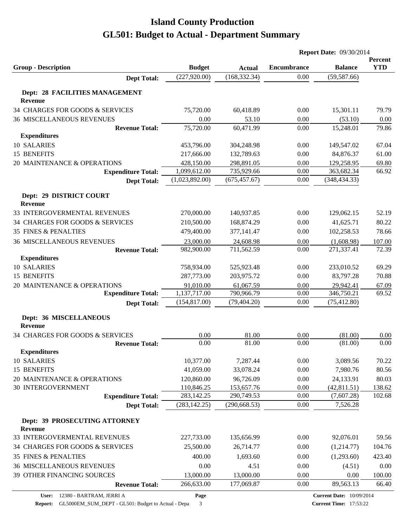|                                                 |                                |                                | <b>Report Date: 09/30/2014</b> |                                 |                       |
|-------------------------------------------------|--------------------------------|--------------------------------|--------------------------------|---------------------------------|-----------------------|
|                                                 |                                |                                |                                |                                 | Percent<br><b>YTD</b> |
| <b>Group - Description</b>                      | <b>Budget</b><br>(227, 920.00) | <b>Actual</b><br>(168, 332.34) | <b>Encumbrance</b><br>0.00     | <b>Balance</b><br>(59, 587.66)  |                       |
| <b>Dept Total:</b>                              |                                |                                |                                |                                 |                       |
| Dept: 28 FACILITIES MANAGEMENT                  |                                |                                |                                |                                 |                       |
| <b>Revenue</b>                                  |                                |                                |                                |                                 |                       |
| 34 CHARGES FOR GOODS & SERVICES                 | 75,720.00                      | 60,418.89                      | 0.00                           | 15,301.11                       | 79.79                 |
| <b>36 MISCELLANEOUS REVENUES</b>                | 0.00                           | 53.10                          | 0.00                           | (53.10)                         | 0.00                  |
| <b>Revenue Total:</b>                           | 75,720.00                      | 60,471.99                      | 0.00                           | 15,248.01                       | 79.86                 |
| <b>Expenditures</b>                             |                                |                                |                                |                                 |                       |
| 10 SALARIES                                     | 453,796.00                     | 304,248.98                     | 0.00                           | 149,547.02                      | 67.04                 |
| 15 BENEFITS                                     | 217,666.00                     | 132,789.63                     | 0.00                           | 84,876.37                       | 61.00                 |
| 20 MAINTENANCE & OPERATIONS                     | 428,150.00<br>1,099,612.00     | 298,891.05<br>735,929.66       | 0.00<br>0.00                   | 129,258.95<br>363,682.34        | 69.80<br>66.92        |
| <b>Expenditure Total:</b><br><b>Dept Total:</b> | (1,023,892.00)                 | (675, 457.67)                  | 0.00                           | (348, 434.33)                   |                       |
|                                                 |                                |                                |                                |                                 |                       |
| Dept: 29 DISTRICT COURT                         |                                |                                |                                |                                 |                       |
| Revenue                                         |                                |                                |                                |                                 |                       |
| 33 INTERGOVERMENTAL REVENUES                    | 270,000.00                     | 140,937.85                     | 0.00                           | 129,062.15                      | 52.19                 |
| 34 CHARGES FOR GOODS & SERVICES                 | 210,500.00                     | 168,874.29                     | 0.00                           | 41,625.71                       | 80.22                 |
| <b>35 FINES &amp; PENALTIES</b>                 | 479,400.00                     | 377,141.47                     | 0.00                           | 102,258.53                      | 78.66                 |
| <b>36 MISCELLANEOUS REVENUES</b>                | 23,000.00                      | 24,608.98                      | 0.00                           | (1,608.98)                      | 107.00                |
| <b>Revenue Total:</b>                           | 982,900.00                     | 711,562.59                     | 0.00                           | 271,337.41                      | 72.39                 |
| <b>Expenditures</b>                             |                                |                                |                                |                                 |                       |
| 10 SALARIES                                     | 758,934.00                     | 525,923.48                     | 0.00                           | 233,010.52                      | 69.29                 |
| 15 BENEFITS                                     | 287,773.00                     | 203,975.72                     | 0.00                           | 83,797.28                       | 70.88                 |
| 20 MAINTENANCE & OPERATIONS                     | 91,010.00                      | 61,067.59                      | 0.00                           | 29,942.41                       | 67.09                 |
| <b>Expenditure Total:</b>                       | 1,137,717.00<br>(154, 817.00)  | 790,966.79<br>(79, 404.20)     | 0.00<br>0.00                   | 346,750.21<br>(75, 412.80)      | 69.52                 |
| <b>Dept Total:</b>                              |                                |                                |                                |                                 |                       |
| Dept: 36 MISCELLANEOUS                          |                                |                                |                                |                                 |                       |
| <b>Revenue</b>                                  |                                |                                |                                |                                 |                       |
| 34 CHARGES FOR GOODS & SERVICES                 | 0.00                           | 81.00                          | 0.00                           | (81.00)                         | 0.00                  |
| <b>Revenue Total:</b>                           | 0.00                           | 81.00                          | 0.00                           | (81.00)                         | 0.00                  |
| <b>Expenditures</b>                             |                                |                                |                                |                                 |                       |
| 10 SALARIES                                     | 10,377.00                      | 7,287.44                       | 0.00                           | 3,089.56                        | 70.22                 |
| 15 BENEFITS                                     | 41,059.00                      | 33,078.24                      | 0.00                           | 7,980.76                        | 80.56                 |
| 20 MAINTENANCE & OPERATIONS                     | 120,860.00                     | 96,726.09                      | 0.00                           | 24,133.91                       | 80.03                 |
| 30 INTERGOVERNMENT                              | 110,846.25                     | 153,657.76                     | 0.00                           | (42, 811.51)                    | 138.62                |
| <b>Expenditure Total:</b>                       | 283,142.25                     | 290,749.53                     | 0.00                           | (7,607.28)                      | 102.68                |
| <b>Dept Total:</b>                              | (283, 142.25)                  | (290, 668.53)                  | 0.00                           | 7,526.28                        |                       |
| Dept: 39 PROSECUTING ATTORNEY                   |                                |                                |                                |                                 |                       |
| <b>Revenue</b><br>33 INTERGOVERMENTAL REVENUES  | 227,733.00                     | 135,656.99                     | 0.00                           | 92,076.01                       | 59.56                 |
| 34 CHARGES FOR GOODS & SERVICES                 |                                |                                |                                |                                 |                       |
|                                                 | 25,500.00                      | 26,714.77                      | 0.00                           | (1,214.77)                      | 104.76                |
| <b>35 FINES &amp; PENALTIES</b>                 | 400.00                         | 1,693.60                       | 0.00                           | (1,293.60)                      | 423.40                |
| <b>36 MISCELLANEOUS REVENUES</b>                | 0.00                           | 4.51                           | 0.00                           | (4.51)                          | 0.00                  |
| 39 OTHER FINANCING SOURCES                      | 13,000.00                      | 13,000.00                      | 0.00                           | 0.00                            | 100.00                |
| <b>Revenue Total:</b>                           | 266,633.00                     | 177,069.87                     | 0.00                           | 89,563.13                       | 66.40                 |
| 12380 - BARTRAM, JERRI A<br>User:               | Page                           |                                |                                | <b>Current Date: 10/09/2014</b> |                       |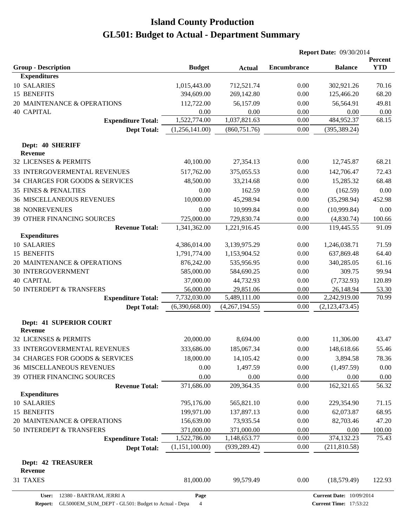|                                              |                |                | <b>Report Date: 09/30/2014</b> |                |                       |  |
|----------------------------------------------|----------------|----------------|--------------------------------|----------------|-----------------------|--|
| <b>Group - Description</b>                   | <b>Budget</b>  | <b>Actual</b>  | <b>Encumbrance</b>             | <b>Balance</b> | Percent<br><b>YTD</b> |  |
| <b>Expenditures</b>                          |                |                |                                |                |                       |  |
| 10 SALARIES                                  | 1,015,443.00   | 712,521.74     | 0.00                           | 302,921.26     | 70.16                 |  |
| 15 BENEFITS                                  | 394,609.00     | 269,142.80     | 0.00                           | 125,466.20     | 68.20                 |  |
| 20 MAINTENANCE & OPERATIONS                  | 112,722.00     | 56,157.09      | 0.00                           | 56,564.91      | 49.81                 |  |
| <b>40 CAPITAL</b>                            | 0.00           | 0.00           | 0.00                           | 0.00           | 0.00                  |  |
| <b>Expenditure Total:</b>                    | 1,522,774.00   | 1,037,821.63   | 0.00                           | 484,952.37     | 68.15                 |  |
| <b>Dept Total:</b>                           | (1,256,141.00) | (860, 751.76)  | 0.00                           | (395, 389.24)  |                       |  |
| Dept: 40 SHERIFF<br><b>Revenue</b>           |                |                |                                |                |                       |  |
| 32 LICENSES & PERMITS                        | 40,100.00      | 27,354.13      | 0.00                           | 12,745.87      | 68.21                 |  |
|                                              |                |                |                                |                |                       |  |
| 33 INTERGOVERMENTAL REVENUES                 | 517,762.00     | 375,055.53     | 0.00                           | 142,706.47     | 72.43                 |  |
| 34 CHARGES FOR GOODS & SERVICES              | 48,500.00      | 33,214.68      | 0.00                           | 15,285.32      | 68.48                 |  |
| <b>35 FINES &amp; PENALTIES</b>              | 0.00           | 162.59         | 0.00                           | (162.59)       | 0.00                  |  |
| <b>36 MISCELLANEOUS REVENUES</b>             | 10,000.00      | 45,298.94      | 0.00                           | (35, 298.94)   | 452.98                |  |
| <b>38 NONREVENUES</b>                        | 0.00           | 10,999.84      | 0.00                           | (10,999.84)    | 0.00                  |  |
| <b>39 OTHER FINANCING SOURCES</b>            | 725,000.00     | 729,830.74     | 0.00                           | (4,830.74)     | 100.66                |  |
| <b>Revenue Total:</b><br><b>Expenditures</b> | 1,341,362.00   | 1,221,916.45   | 0.00                           | 119,445.55     | 91.09                 |  |
| 10 SALARIES                                  | 4,386,014.00   | 3,139,975.29   | 0.00                           | 1,246,038.71   | 71.59                 |  |
| 15 BENEFITS                                  | 1,791,774.00   | 1,153,904.52   | 0.00                           | 637,869.48     | 64.40                 |  |
| 20 MAINTENANCE & OPERATIONS                  | 876,242.00     | 535,956.95     | 0.00                           | 340,285.05     | 61.16                 |  |
| <b>30 INTERGOVERNMENT</b>                    | 585,000.00     | 584,690.25     | 0.00                           | 309.75         | 99.94                 |  |
| <b>40 CAPITAL</b>                            | 37,000.00      | 44,732.93      | 0.00                           | (7, 732.93)    | 120.89                |  |
| 50 INTERDEPT & TRANSFERS                     | 56,000.00      | 29,851.06      | 0.00                           | 26,148.94      | 53.30                 |  |
| <b>Expenditure Total:</b>                    | 7,732,030.00   | 5,489,111.00   | 0.00                           | 2,242,919.00   | 70.99                 |  |
| <b>Dept Total:</b>                           | (6,390,668.00) | (4,267,194.55) | 0.00                           | (2,123,473.45) |                       |  |
| Dept: 41 SUPERIOR COURT                      |                |                |                                |                |                       |  |
| <b>Revenue</b>                               |                |                |                                |                |                       |  |
| 32 LICENSES & PERMITS                        | 20,000.00      | 8,694.00       | 0.00                           | 11,306.00      | 43.47                 |  |
| 33 INTERGOVERMENTAL REVENUES                 | 333,686.00     | 185,067.34     | 0.00                           | 148,618.66     | 55.46                 |  |
| 34 CHARGES FOR GOODS & SERVICES              | 18,000.00      | 14,105.42      | 0.00                           | 3,894.58       | 78.36                 |  |
| <b>36 MISCELLANEOUS REVENUES</b>             | 0.00           | 1,497.59       | 0.00                           | (1,497.59)     | 0.00                  |  |
| 39 OTHER FINANCING SOURCES                   | 0.00           | 0.00           | 0.00                           | 0.00           | 0.00                  |  |
| <b>Revenue Total:</b>                        | 371,686.00     | 209,364.35     | 0.00                           | 162,321.65     | 56.32                 |  |
| <b>Expenditures</b>                          |                |                |                                |                |                       |  |
| 10 SALARIES                                  | 795,176.00     | 565,821.10     | 0.00                           | 229,354.90     | 71.15                 |  |
| 15 BENEFITS                                  | 199,971.00     | 137,897.13     | 0.00                           | 62,073.87      | 68.95                 |  |
| 20 MAINTENANCE & OPERATIONS                  | 156,639.00     | 73,935.54      | 0.00                           | 82,703.46      | 47.20                 |  |
| 50 INTERDEPT & TRANSFERS                     | 371,000.00     | 371,000.00     | 0.00                           | 0.00           | 100.00                |  |
| <b>Expenditure Total:</b>                    | 1,522,786.00   | 1,148,653.77   | 0.00                           | 374,132.23     | 75.43                 |  |
| <b>Dept Total:</b>                           | (1,151,100.00) | (939, 289.42)  | 0.00                           | (211,810.58)   |                       |  |
| <b>Dept: 42 TREASURER</b>                    |                |                |                                |                |                       |  |
| <b>Revenue</b><br>31 TAXES                   | 81,000.00      | 99,579.49      | 0.00                           | (18, 579.49)   | 122.93                |  |
|                                              |                |                |                                |                |                       |  |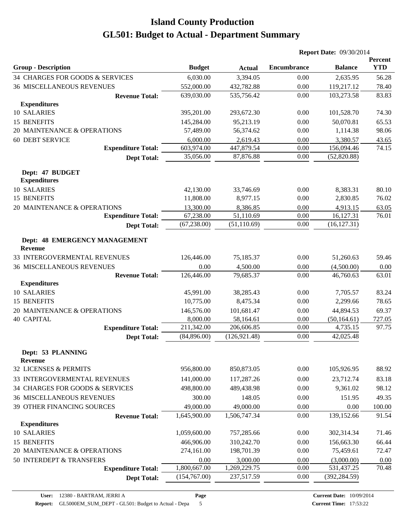|                                                 |               |               | <b>Report Date: 09/30/2014</b> |                |                       |
|-------------------------------------------------|---------------|---------------|--------------------------------|----------------|-----------------------|
| <b>Group - Description</b>                      | <b>Budget</b> | <b>Actual</b> | <b>Encumbrance</b>             | <b>Balance</b> | Percent<br><b>YTD</b> |
| 34 CHARGES FOR GOODS & SERVICES                 | 6,030.00      | 3,394.05      | 0.00                           | 2,635.95       | 56.28                 |
| <b>36 MISCELLANEOUS REVENUES</b>                | 552,000.00    | 432,782.88    | 0.00                           | 119,217.12     | 78.40                 |
| <b>Revenue Total:</b>                           | 639,030.00    | 535,756.42    | 0.00                           | 103,273.58     | 83.83                 |
| <b>Expenditures</b>                             |               |               |                                |                |                       |
| 10 SALARIES                                     | 395,201.00    | 293,672.30    | 0.00                           | 101,528.70     | 74.30                 |
| 15 BENEFITS                                     | 145,284.00    | 95,213.19     | 0.00                           | 50,070.81      | 65.53                 |
| 20 MAINTENANCE & OPERATIONS                     | 57,489.00     | 56,374.62     | 0.00                           | 1,114.38       | 98.06                 |
| <b>60 DEBT SERVICE</b>                          | 6,000.00      | 2,619.43      | 0.00                           | 3,380.57       | 43.65                 |
| <b>Expenditure Total:</b>                       | 603,974.00    | 447,879.54    | 0.00                           | 156,094.46     | 74.15                 |
| <b>Dept Total:</b>                              | 35,056.00     | 87,876.88     | 0.00                           | (52,820.88)    |                       |
| Dept: 47 BUDGET                                 |               |               |                                |                |                       |
| <b>Expenditures</b>                             |               |               |                                |                |                       |
| 10 SALARIES                                     | 42,130.00     | 33,746.69     | 0.00                           | 8,383.31       | 80.10                 |
| 15 BENEFITS                                     | 11,808.00     | 8,977.15      | 0.00                           | 2,830.85       | 76.02                 |
| 20 MAINTENANCE & OPERATIONS                     | 13,300.00     | 8,386.85      | 0.00                           | 4,913.15       | 63.05                 |
| <b>Expenditure Total:</b>                       | 67,238.00     | 51,110.69     | 0.00                           | 16,127.31      | 76.01                 |
| <b>Dept Total:</b>                              | (67, 238.00)  | (51, 110.69)  | 0.00                           | (16, 127.31)   |                       |
| Dept: 48 EMERGENCY MANAGEMENT<br><b>Revenue</b> |               |               |                                |                |                       |
| 33 INTERGOVERMENTAL REVENUES                    | 126,446.00    | 75,185.37     | 0.00                           | 51,260.63      | 59.46                 |
| <b>36 MISCELLANEOUS REVENUES</b>                | 0.00          | 4,500.00      | 0.00                           | (4,500.00)     | 0.00                  |
| <b>Revenue Total:</b>                           | 126,446.00    | 79,685.37     | 0.00                           | 46,760.63      | 63.01                 |
| <b>Expenditures</b>                             |               |               |                                |                |                       |
| 10 SALARIES                                     | 45,991.00     | 38,285.43     | 0.00                           | 7,705.57       | 83.24                 |
| 15 BENEFITS                                     | 10,775.00     | 8,475.34      | 0.00                           | 2,299.66       | 78.65                 |
| 20 MAINTENANCE & OPERATIONS                     | 146,576.00    | 101,681.47    | 0.00                           | 44,894.53      | 69.37                 |
| <b>40 CAPITAL</b>                               | 8,000.00      | 58,164.61     | 0.00                           | (50, 164.61)   | 727.05                |
| <b>Expenditure Total:</b>                       | 211,342.00    | 206,606.85    | 0.00                           | 4,735.15       | 97.75                 |
| <b>Dept Total:</b>                              | (84,896.00)   | (126, 921.48) | 0.00                           | 42,025.48      |                       |
| Dept: 53 PLANNING<br><b>Revenue</b>             |               |               |                                |                |                       |
| 32 LICENSES & PERMITS                           | 956,800.00    | 850,873.05    | 0.00                           | 105,926.95     | 88.92                 |
| 33 INTERGOVERMENTAL REVENUES                    | 141,000.00    | 117,287.26    | 0.00                           | 23,712.74      | 83.18                 |
| 34 CHARGES FOR GOODS & SERVICES                 | 498,800.00    | 489,438.98    | 0.00                           | 9,361.02       | 98.12                 |
| <b>36 MISCELLANEOUS REVENUES</b>                | 300.00        | 148.05        | 0.00                           | 151.95         | 49.35                 |
| 39 OTHER FINANCING SOURCES                      | 49,000.00     | 49,000.00     | 0.00                           | 0.00           | 100.00                |
| <b>Revenue Total:</b>                           | 1,645,900.00  | 1,506,747.34  | 0.00                           | 139,152.66     | 91.54                 |
| <b>Expenditures</b>                             |               |               |                                |                |                       |
| 10 SALARIES                                     | 1,059,600.00  | 757,285.66    | 0.00                           | 302,314.34     | 71.46                 |
| 15 BENEFITS                                     | 466,906.00    | 310,242.70    | 0.00                           | 156,663.30     | 66.44                 |
| 20 MAINTENANCE & OPERATIONS                     | 274,161.00    | 198,701.39    | 0.00                           | 75,459.61      | 72.47                 |
| 50 INTERDEPT & TRANSFERS                        | 0.00          | 3,000.00      | 0.00                           | (3,000.00)     | 0.00                  |
| <b>Expenditure Total:</b>                       | 1,800,667.00  | 1,269,229.75  | 0.00                           | 531,437.25     | 70.48                 |
| <b>Dept Total:</b>                              | (154,767.00)  | 237,517.59    | 0.00                           | (392, 284.59)  |                       |